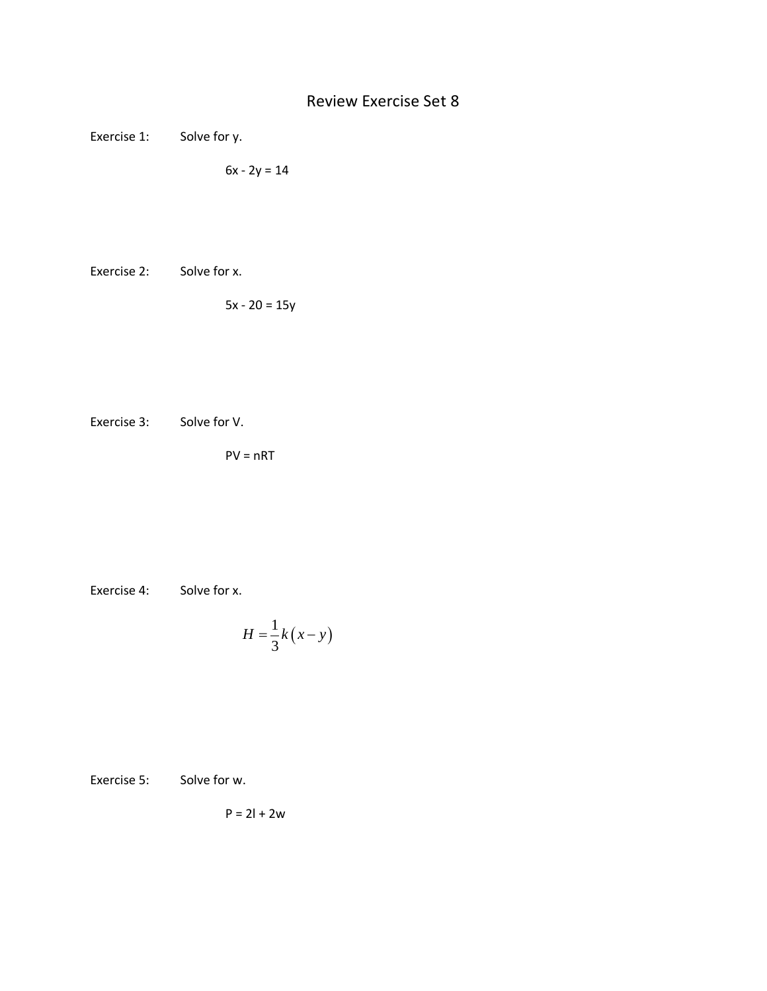Exercise 1: Solve for y.

 $6x - 2y = 14$ 

Exercise 2: Solve for x.

 $5x - 20 = 15y$ 

Exercise 3: Solve for V.

 $PV = nRT$ 

Exercise 4: Solve for x.

$$
H = \frac{1}{3}k(x - y)
$$

Exercise 5: Solve for w.

 $P = 2l + 2w$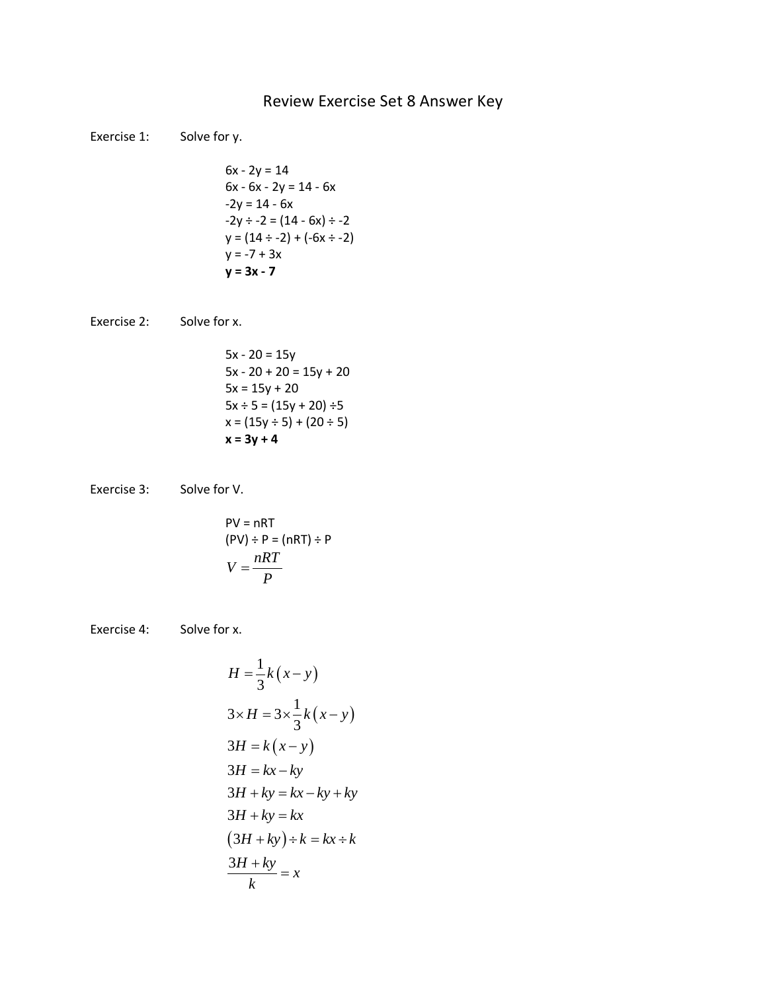## Review Exercise Set 8 Answer Key

Exercise 1: Solve for y.  $6x - 2y = 14$  $6x - 6x - 2y = 14 - 6x$  $-2y = 14 - 6x$  $-2y \div -2 = (14 - 6x) \div -2$  $y = (14 \div -2) + (-6x \div -2)$  $y = -7 + 3x$ **y = 3x - 7** Exercise 2: Solve for x.  $5x - 20 = 15y$  $5x - 20 + 20 = 15y + 20$  $5x = 15y + 20$  $5x \div 5 = (15y + 20) \div 5$  $x = (15y \div 5) + (20 \div 5)$ **x = 3y + 4** Exercise 3: Solve for V. PV = nRT  $(PV) \div P = (nRT) \div P$  $V = \frac{nRT}{P}$ Exercise 4: Solve for x.  $\frac{1}{2}k(x-y)$  $(x-y)$  $(x-y)$ 3  $3 \times H = 3 \times \frac{1}{2}$ 3 3 3  $H = \frac{1}{2}k(x - y)$  $H = 3 \times \frac{1}{2} k(x - y)$  $H = k(x - y)$  $H = kx - ky$  $\times H = 3 \times \frac{1}{2} k (x = k(x = kx -$ 

$$
3 \times H = 3 \times \frac{1}{3}k(x - y)
$$
  
\n
$$
3H = k(x - y)
$$
  
\n
$$
3H = kx - ky
$$
  
\n
$$
3H + ky = kx - ky + ky
$$
  
\n
$$
3H + ky = kx
$$
  
\n
$$
(3H + ky) \div k = kx \div k
$$
  
\n
$$
\frac{3H + ky}{k} = x
$$